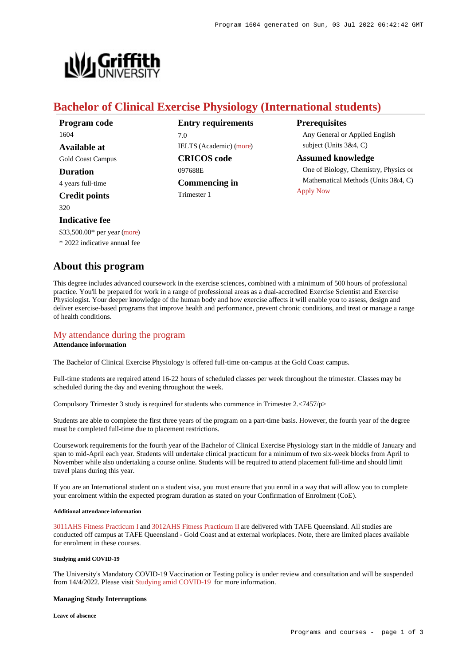

# **Bachelor of Clinical Exercise Physiology (International students)**

| Program code             | <b>Entry requirements</b> | <b>Prerequisites</b>                                    |
|--------------------------|---------------------------|---------------------------------------------------------|
| 1604                     | 7.0                       | Any General or Applied English                          |
| Available at             | IELTS (Academic) (more)   | subject (Units $3&4, C$ )                               |
| <b>Gold Coast Campus</b> | <b>CRICOS</b> code        | <b>Assumed knowledge</b>                                |
| <b>Duration</b>          | 097688E                   | One of Biology, Chemistry, Physics or                   |
| 4 years full-time        | <b>Commencing in</b>      | Mathematical Methods (Units 3&4, C)<br><b>Apply Now</b> |
| <b>Credit points</b>     | Trimester 1               |                                                         |

320

### **Indicative fee**

\$33,500.00\* per year [\(more](https://www148.griffith.edu.au/programs-courses/Program/1604/Overview/International#fees))

\* 2022 indicative annual fee

## **About this program**

This degree includes advanced coursework in the exercise sciences, combined with a minimum of 500 hours of professional practice. You'll be prepared for work in a range of professional areas as a dual-accredited Exercise Scientist and Exercise Physiologist. Your deeper knowledge of the human body and how exercise affects it will enable you to assess, design and deliver exercise-based programs that improve health and performance, prevent chronic conditions, and treat or manage a range of health conditions.

## [My attendance during the program](https://www148.griffith.edu.au/programs-courses/Program/1604/Overview/International#attendance)

### **Attendance information**

The Bachelor of Clinical Exercise Physiology is offered full-time on-campus at the Gold Coast campus.

Full-time students are required attend 16-22 hours of scheduled classes per week throughout the trimester. Classes may be scheduled during the day and evening throughout the week.

Compulsory Trimester 3 study is required for students who commence in Trimester  $2 < 7457/p$ 

Students are able to complete the first three years of the program on a part-time basis. However, the fourth year of the degree must be completed full-time due to placement restrictions.

Coursework requirements for the fourth year of the Bachelor of Clinical Exercise Physiology start in the middle of January and span to mid-April each year. Students will undertake clinical practicum for a minimum of two six-week blocks from April to November while also undertaking a course online. Students will be required to attend placement full-time and should limit travel plans during this year.

If you are an International student on a student visa, you must ensure that you enrol in a way that will allow you to complete your enrolment within the expected program duration as stated on your Confirmation of Enrolment (CoE).

#### **Additional attendance information**

[3011AHS Fitness Practicum I](https://www148.griffith.edu.au/Course/3011AHS) and [3012AHS Fitness Practicum II](https://www148.griffith.edu.au/Course/3012AHS) are delivered with TAFE Queensland. All studies are conducted off campus at TAFE Queensland - Gold Coast and at external workplaces. Note, there are limited places available for enrolment in these courses.

### **Studying amid COVID-19**

The University's Mandatory COVID-19 Vaccination or Testing policy is under review and consultation and will be suspended from 14/4/2022. Please visit [Studying amid COVID-19](https://www.griffith.edu.au/coronavirus/studying-amid-covid-19) for more information.

### **Managing Study Interruptions**

**Leave of absence**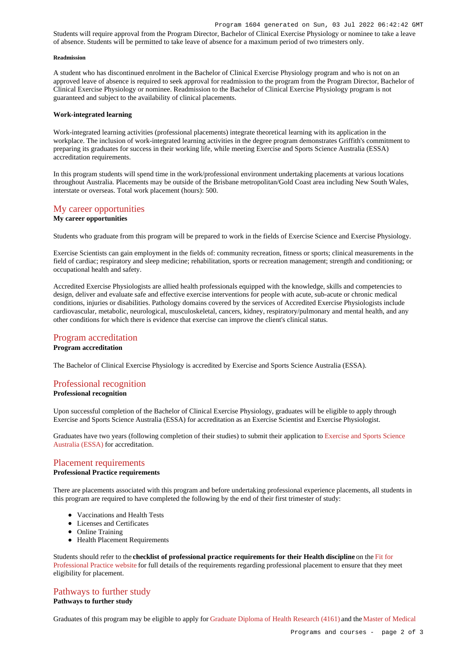Students will require approval from the Program Director, Bachelor of Clinical Exercise Physiology or nominee to take a leave of absence. Students will be permitted to take leave of absence for a maximum period of two trimesters only.

#### **Readmission**

A student who has discontinued enrolment in the Bachelor of Clinical Exercise Physiology program and who is not on an approved leave of absence is required to seek approval for readmission to the program from the Program Director, Bachelor of Clinical Exercise Physiology or nominee. Readmission to the Bachelor of Clinical Exercise Physiology program is not guaranteed and subject to the availability of clinical placements.

### **Work-integrated learning**

Work-integrated learning activities (professional placements) integrate theoretical learning with its application in the workplace. The inclusion of work-integrated learning activities in the degree program demonstrates Griffith's commitment to preparing its graduates for success in their working life, while meeting Exercise and Sports Science Australia (ESSA) accreditation requirements.

In this program students will spend time in the work/professional environment undertaking placements at various locations throughout Australia. Placements may be outside of the Brisbane metropolitan/Gold Coast area including New South Wales, interstate or overseas. Total work placement (hours): 500.

# [My career opportunities](https://www148.griffith.edu.au/programs-courses/Program/1604/Overview/International#opportunities)

### **My career opportunities**

Students who graduate from this program will be prepared to work in the fields of Exercise Science and Exercise Physiology.

Exercise Scientists can gain employment in the fields of: community recreation, fitness or sports; clinical measurements in the field of cardiac; respiratory and sleep medicine; rehabilitation, sports or recreation management; strength and conditioning; or occupational health and safety.

Accredited Exercise Physiologists are allied health professionals equipped with the knowledge, skills and competencies to design, deliver and evaluate safe and effective exercise interventions for people with acute, sub-acute or chronic medical conditions, injuries or disabilities. Pathology domains covered by the services of Accredited Exercise Physiologists include cardiovascular, metabolic, neurological, musculoskeletal, cancers, kidney, respiratory/pulmonary and mental health, and any other conditions for which there is evidence that exercise can improve the client's clinical status.

### [Program accreditation](https://www148.griffith.edu.au/programs-courses/Program/1604/Overview/International#accreditation)

### **Program accreditation**

The Bachelor of Clinical Exercise Physiology is accredited by Exercise and Sports Science Australia (ESSA).

# [Professional recognition](https://www148.griffith.edu.au/programs-courses/Program/1604/Overview/International#recognition)

### **Professional recognition**

Upon successful completion of the Bachelor of Clinical Exercise Physiology, graduates will be eligible to apply through Exercise and Sports Science Australia (ESSA) for accreditation as an Exercise Scientist and Exercise Physiologist.

Graduates have two years (following completion of their studies) to submit their application to [Exercise and Sports Science](https://www.essa.org.au/) [Australia \(ESSA\)](https://www.essa.org.au/) for accreditation.

### [Placement requirements](https://www148.griffith.edu.au/programs-courses/Program/1604/Overview/International#placement)

### **Professional Practice requirements**

There are placements associated with this program and before undertaking professional experience placements, all students in this program are required to have completed the following by the end of their first trimester of study:

- Vaccinations and Health Tests
- Licenses and Certificates
- Online Training
- Health Placement Requirements

Students should refer to the **checklist of professional practice requirements for their Health discipline** on the [Fit for](https://www.griffith.edu.au/griffith-health/fit-for-professional-practice) [Professional Practice website](https://www.griffith.edu.au/griffith-health/fit-for-professional-practice) for full details of the requirements regarding professional placement to ensure that they meet eligibility for placement.

### [Pathways to further study](https://www148.griffith.edu.au/programs-courses/Program/1604/Overview/International#pathways)

### **Pathways to further study**

Graduates of this program may be eligible to apply for [Graduate Diploma of Health Research \(4161\)](https://www148.griffith.edu.au/Search/Results?SearchText=4161) and the [Master of Medical](https://www148.griffith.edu.au/Search/Results?SearchText=5626)